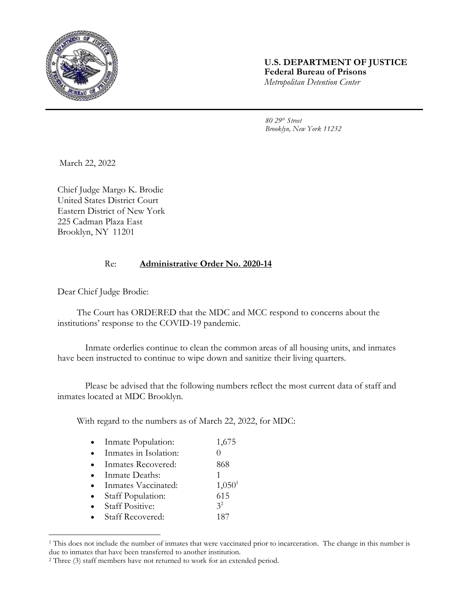

## **U.S. DEPARTMENT OF JUSTICE Federal Bureau of Prisons** *Metropolitan Detention Center*

*80 29th Street Brooklyn, New York 11232*

March 22, 2022

Chief Judge Margo K. Brodie United States District Court Eastern District of New York 225 Cadman Plaza East Brooklyn, NY 11201

## Re: **Administrative Order No. 2020-14**

Dear Chief Judge Brodie:

l

The Court has ORDERED that the MDC and MCC respond to concerns about the institutions' response to the COVID-19 pandemic.

Inmate orderlies continue to clean the common areas of all housing units, and inmates have been instructed to continue to wipe down and sanitize their living quarters.

Please be advised that the following numbers reflect the most current data of staff and inmates located at MDC Brooklyn.

With regard to the numbers as of March 22, 2022, for MDC:

| Inmate Population:      | 1,675              |
|-------------------------|--------------------|
| Inmates in Isolation:   |                    |
| Inmates Recovered:      | 868                |
| Inmate Deaths:          | 1                  |
| Inmates Vaccinated:     | 1,050 <sup>1</sup> |
| Staff Population:       | 615                |
| <b>Staff Positive:</b>  | 3 <sup>2</sup>     |
| <b>Staff Recovered:</b> | 187                |

<sup>&</sup>lt;sup>1</sup> This does not include the number of inmates that were vaccinated prior to incarceration. The change in this number is due to inmates that have been transferred to another institution.

<sup>2</sup> Three (3) staff members have not returned to work for an extended period.